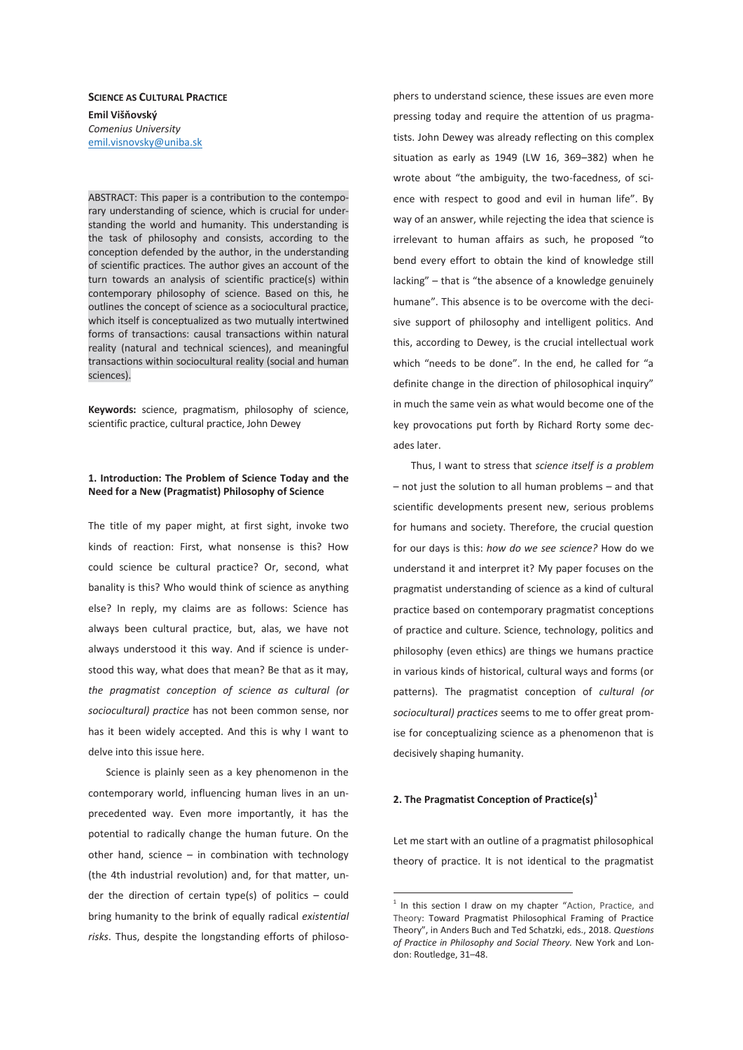# **SCIENCE AS CULTURAL PRACTICE Emil Višňovský**  *Comenius University*  emil.visnovsky@uniba.sk

ABSTRACT: This paper is a contribution to the contemporary understanding of science, which is crucial for understanding the world and humanity. This understanding is the task of philosophy and consists, according to the conception defended by the author, in the understanding of scientific practices. The author gives an account of the turn towards an analysis of scientific practice(s) within contemporary philosophy of science. Based on this, he outlines the concept of science as a sociocultural practice, which itself is conceptualized as two mutually intertwined forms of transactions: causal transactions within natural reality (natural and technical sciences), and meaningful transactions within sociocultural reality (social and human sciences).

**Keywords:** science, pragmatism, philosophy of science, scientific practice, cultural practice, John Dewey

## **1. Introduction: The Problem of Science Today and the Need for a New (Pragmatist) Philosophy of Science**

The title of my paper might, at first sight, invoke two kinds of reaction: First, what nonsense is this? How could science be cultural practice? Or, second, what banality is this? Who would think of science as anything else? In reply, my claims are as follows: Science has always been cultural practice, but, alas, we have not always understood it this way. And if science is understood this way, what does that mean? Be that as it may, *the pragmatist conception of science as cultural (or sociocultural) practice* has not been common sense, nor has it been widely accepted. And this is why I want to delve into this issue here.

Science is plainly seen as a key phenomenon in the contemporary world, influencing human lives in an unprecedented way. Even more importantly, it has the potential to radically change the human future. On the other hand, science – in combination with technology (the 4th industrial revolution) and, for that matter, under the direction of certain type(s) of politics – could bring humanity to the brink of equally radical *existential risks*. Thus, despite the longstanding efforts of philosophers to understand science, these issues are even more pressing today and require the attention of us pragmatists. John Dewey was already reflecting on this complex situation as early as 1949 (LW 16, 369–382) when he wrote about "the ambiguity, the two-facedness, of science with respect to good and evil in human life". By way of an answer, while rejecting the idea that science is irrelevant to human affairs as such, he proposed "to bend every effort to obtain the kind of knowledge still lacking" – that is "the absence of a knowledge genuinely humane". This absence is to be overcome with the decisive support of philosophy and intelligent politics. And this, according to Dewey, is the crucial intellectual work which "needs to be done". In the end, he called for "a definite change in the direction of philosophical inquiry" in much the same vein as what would become one of the key provocations put forth by Richard Rorty some decades later.

Thus, I want to stress that *science itself is a problem* – not just the solution to all human problems – and that scientific developments present new, serious problems for humans and society. Therefore, the crucial question for our days is this: *how do we see science?* How do we understand it and interpret it? My paper focuses on the pragmatist understanding of science as a kind of cultural practice based on contemporary pragmatist conceptions of practice and culture. Science, technology, politics and philosophy (even ethics) are things we humans practice in various kinds of historical, cultural ways and forms (or patterns). The pragmatist conception of *cultural (or sociocultural) practices* seems to me to offer great promise for conceptualizing science as a phenomenon that is decisively shaping humanity.

### **2. The Pragmatist Conception of Practice(s)<sup>1</sup>**

-

Let me start with an outline of a pragmatist philosophical theory of practice. It is not identical to the pragmatist

<sup>&</sup>lt;sup>1</sup> In this section I draw on my chapter "Action, Practice, and Theory: Toward Pragmatist Philosophical Framing of Practice Theory", in Anders Buch and Ted Schatzki, eds., 2018. *Questions of Practice in Philosophy and Social Theory.* New York and London: Routledge, 31–48.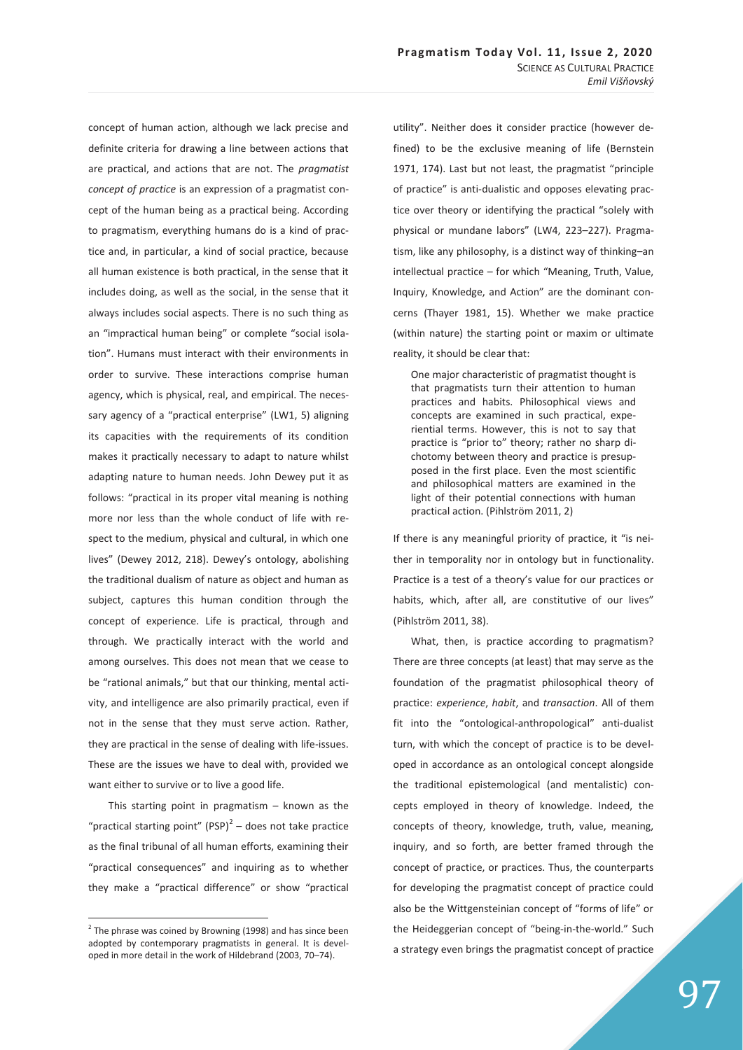concept of human action, although we lack precise and definite criteria for drawing a line between actions that are practical, and actions that are not. The *pragmatist concept of practice* is an expression of a pragmatist concept of the human being as a practical being. According to pragmatism, everything humans do is a kind of practice and, in particular, a kind of social practice, because all human existence is both practical, in the sense that it includes doing, as well as the social, in the sense that it always includes social aspects. There is no such thing as an "impractical human being" or complete "social isolation". Humans must interact with their environments in order to survive. These interactions comprise human agency, which is physical, real, and empirical. The necessary agency of a "practical enterprise" (LW1, 5) aligning its capacities with the requirements of its condition makes it practically necessary to adapt to nature whilst adapting nature to human needs. John Dewey put it as follows: "practical in its proper vital meaning is nothing more nor less than the whole conduct of life with respect to the medium, physical and cultural, in which one lives" (Dewey 2012, 218). Dewey's ontology, abolishing the traditional dualism of nature as object and human as subject, captures this human condition through the concept of experience. Life is practical, through and through. We practically interact with the world and among ourselves. This does not mean that we cease to be "rational animals," but that our thinking, mental activity, and intelligence are also primarily practical, even if not in the sense that they must serve action. Rather, they are practical in the sense of dealing with life-issues. These are the issues we have to deal with, provided we want either to survive or to live a good life.

 This starting point in pragmatism – known as the "practical starting point"  $(PSP)^2$  – does not take practice as the final tribunal of all human efforts, examining their "practical consequences" and inquiring as to whether they make a "practical difference" or show "practical

 $\overline{a}$ 

utility". Neither does it consider practice (however defined) to be the exclusive meaning of life (Bernstein 1971, 174). Last but not least, the pragmatist "principle of practice" is anti-dualistic and opposes elevating practice over theory or identifying the practical "solely with physical or mundane labors" (LW4, 223–227). Pragmatism, like any philosophy, is a distinct way of thinking–an intellectual practice – for which "Meaning, Truth, Value, Inquiry, Knowledge, and Action" are the dominant concerns (Thayer 1981, 15). Whether we make practice (within nature) the starting point or maxim or ultimate reality, it should be clear that:

One major characteristic of pragmatist thought is that pragmatists turn their attention to human practices and habits. Philosophical views and concepts are examined in such practical, experiential terms. However, this is not to say that practice is "prior to" theory; rather no sharp dichotomy between theory and practice is presupposed in the first place. Even the most scientific and philosophical matters are examined in the light of their potential connections with human practical action. (Pihlström 2011, 2)

If there is any meaningful priority of practice, it "is neither in temporality nor in ontology but in functionality. Practice is a test of a theory's value for our practices or habits, which, after all, are constitutive of our lives" (Pihlström 2011, 38).

What, then, is practice according to pragmatism? There are three concepts (at least) that may serve as the foundation of the pragmatist philosophical theory of practice: *experience*, *habit*, and *transaction*. All of them fit into the "ontological-anthropological" anti-dualist turn, with which the concept of practice is to be developed in accordance as an ontological concept alongside the traditional epistemological (and mentalistic) concepts employed in theory of knowledge. Indeed, the concepts of theory, knowledge, truth, value, meaning, inquiry, and so forth, are better framed through the concept of practice, or practices. Thus, the counterparts for developing the pragmatist concept of practice could also be the Wittgensteinian concept of "forms of life" or the Heideggerian concept of "being-in-the-world." Such a strategy even brings the pragmatist concept of practice

 $2$  The phrase was coined by Browning (1998) and has since been adopted by contemporary pragmatists in general. It is developed in more detail in the work of Hildebrand (2003, 70–74).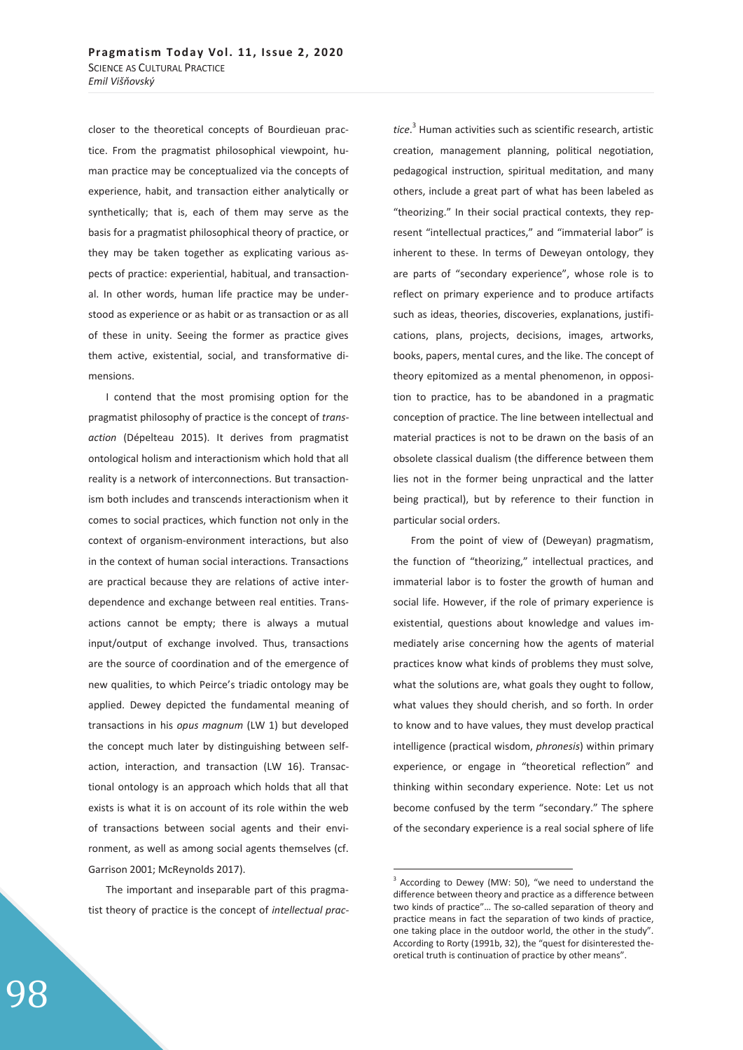closer to the theoretical concepts of Bourdieuan practice. From the pragmatist philosophical viewpoint, human practice may be conceptualized via the concepts of experience, habit, and transaction either analytically or synthetically; that is, each of them may serve as the basis for a pragmatist philosophical theory of practice, or they may be taken together as explicating various aspects of practice: experiential, habitual, and transactional. In other words, human life practice may be understood as experience or as habit or as transaction or as all of these in unity. Seeing the former as practice gives them active, existential, social, and transformative dimensions.

I contend that the most promising option for the pragmatist philosophy of practice is the concept of *transaction* (Dépelteau 2015). It derives from pragmatist ontological holism and interactionism which hold that all reality is a network of interconnections. But transactionism both includes and transcends interactionism when it comes to social practices, which function not only in the context of organism-environment interactions, but also in the context of human social interactions. Transactions are practical because they are relations of active interdependence and exchange between real entities. Transactions cannot be empty; there is always a mutual input/output of exchange involved. Thus, transactions are the source of coordination and of the emergence of new qualities, to which Peirce's triadic ontology may be applied. Dewey depicted the fundamental meaning of transactions in his *opus magnum* (LW 1) but developed the concept much later by distinguishing between selfaction, interaction, and transaction (LW 16). Transactional ontology is an approach which holds that all that exists is what it is on account of its role within the web of transactions between social agents and their environment, as well as among social agents themselves (cf. Garrison 2001; McReynolds 2017).

The important and inseparable part of this pragmatist theory of practice is the concept of *intellectual prac-*

*tice*. 3 Human activities such as scientific research, artistic creation, management planning, political negotiation, pedagogical instruction, spiritual meditation, and many others, include a great part of what has been labeled as "theorizing." In their social practical contexts, they represent "intellectual practices," and "immaterial labor" is inherent to these. In terms of Deweyan ontology, they are parts of "secondary experience", whose role is to reflect on primary experience and to produce artifacts such as ideas, theories, discoveries, explanations, justifications, plans, projects, decisions, images, artworks, books, papers, mental cures, and the like. The concept of theory epitomized as a mental phenomenon, in opposition to practice, has to be abandoned in a pragmatic conception of practice. The line between intellectual and material practices is not to be drawn on the basis of an obsolete classical dualism (the difference between them lies not in the former being unpractical and the latter being practical), but by reference to their function in particular social orders.

From the point of view of (Deweyan) pragmatism, the function of "theorizing," intellectual practices, and immaterial labor is to foster the growth of human and social life. However, if the role of primary experience is existential, questions about knowledge and values immediately arise concerning how the agents of material practices know what kinds of problems they must solve, what the solutions are, what goals they ought to follow, what values they should cherish, and so forth. In order to know and to have values, they must develop practical intelligence (practical wisdom, *phronesis*) within primary experience, or engage in "theoretical reflection" and thinking within secondary experience. Note: Let us not become confused by the term "secondary." The sphere of the secondary experience is a real social sphere of life

-

<sup>3</sup> According to Dewey (MW: 50), "we need to understand the difference between theory and practice as a difference between two kinds of practice"… The so-called separation of theory and practice means in fact the separation of two kinds of practice, one taking place in the outdoor world, the other in the study". According to Rorty (1991b, 32), the "quest for disinterested theoretical truth is continuation of practice by other means".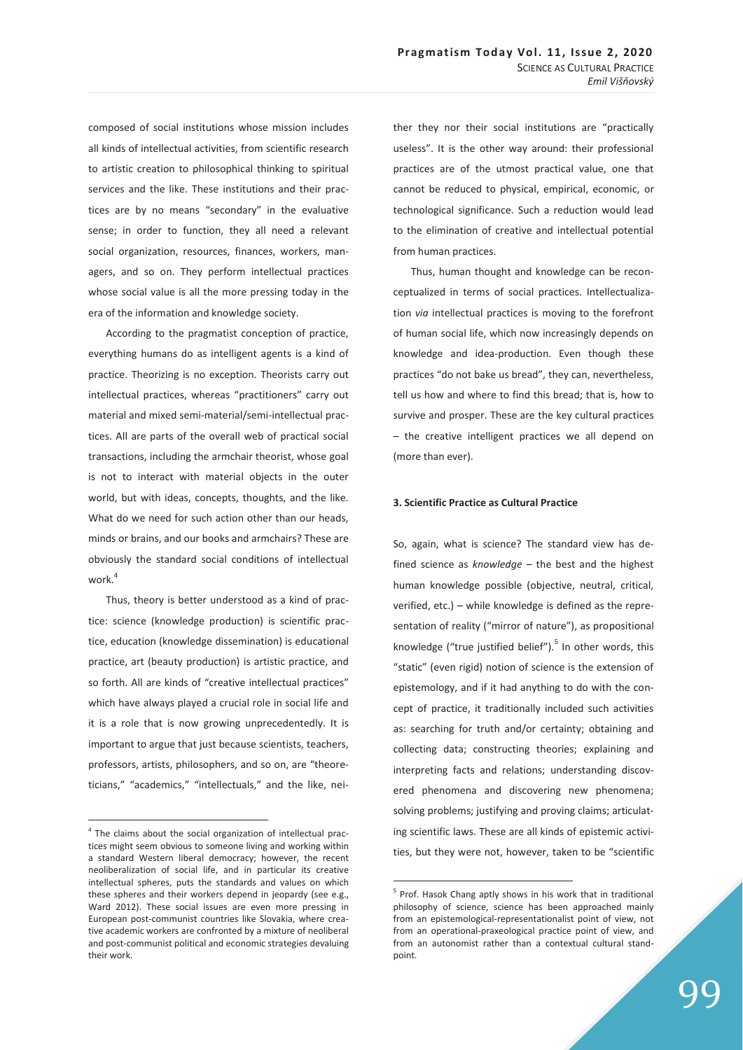composed of social institutions whose mission includes all kinds of intellectual activities, from scientific research to artistic creation to philosophical thinking to spiritual services and the like. These institutions and their practices are by no means "secondary" in the evaluative sense; in order to function, they all need a relevant social organization, resources, finances, workers, managers, and so on. They perform intellectual practices whose social value is all the more pressing today in the era of the information and knowledge society.

According to the pragmatist conception of practice, everything humans do as intelligent agents is a kind of practice. Theorizing is no exception. Theorists carry out intellectual practices, whereas "practitioners" carry out material and mixed semi-material/semi-intellectual practices. All are parts of the overall web of practical social transactions, including the armchair theorist, whose goal is not to interact with material objects in the outer world, but with ideas, concepts, thoughts, and the like. What do we need for such action other than our heads, minds or brains, and our books and armchairs? These are obviously the standard social conditions of intellectual work.<sup>4</sup>

Thus, theory is better understood as a kind of practice: science (knowledge production) is scientific practice, education (knowledge dissemination) is educational practice, art (beauty production) is artistic practice, and so forth. All are kinds of "creative intellectual practices" which have always played a crucial role in social life and it is a role that is now growing unprecedentedly. It is important to argue that just because scientists, teachers, professors, artists, philosophers, and so on, are "theoreticians," "academics," "intellectuals," and the like, nei-

 $\overline{a}$ 

ther they nor their social institutions are "practically useless". It is the other way around: their professional practices are of the utmost practical value, one that cannot be reduced to physical, empirical, economic, or technological significance. Such a reduction would lead to the elimination of creative and intellectual potential from human practices.

Thus, human thought and knowledge can be reconceptualized in terms of social practices. Intellectualization *via* intellectual practices is moving to the forefront of human social life, which now increasingly depends on knowledge and idea-production. Even though these practices "do not bake us bread", they can, nevertheless, tell us how and where to find this bread; that is, how to survive and prosper. These are the key cultural practices – the creative intelligent practices we all depend on (more than ever).

#### **3. Scientific Practice as Cultural Practice**

So, again, what is science? The standard view has defined science as *knowledge* – the best and the highest human knowledge possible (objective, neutral, critical, verified, etc.) – while knowledge is defined as the representation of reality ("mirror of nature"), as propositional knowledge ("true justified belief").<sup>5</sup> In other words, this "static" (even rigid) notion of science is the extension of epistemology, and if it had anything to do with the concept of practice, it traditionally included such activities as: searching for truth and/or certainty; obtaining and collecting data; constructing theories; explaining and interpreting facts and relations; understanding discovered phenomena and discovering new phenomena; solving problems; justifying and proving claims; articulating scientific laws. These are all kinds of epistemic activities, but they were not, however, taken to be "scientific

-

<sup>&</sup>lt;sup>4</sup> The claims about the social organization of intellectual practices might seem obvious to someone living and working within a standard Western liberal democracy; however, the recent neoliberalization of social life, and in particular its creative intellectual spheres, puts the standards and values on which these spheres and their workers depend in jeopardy (see e.g., Ward 2012). These social issues are even more pressing in European post-communist countries like Slovakia, where creative academic workers are confronted by a mixture of neoliberal and post-communist political and economic strategies devaluing their work.

<sup>&</sup>lt;sup>5</sup> Prof. Hasok Chang aptly shows in his work that in traditional philosophy of science, science has been approached mainly from an epistemological-representationalist point of view, not from an operational-praxeological practice point of view, and from an autonomist rather than a contextual cultural standpoint.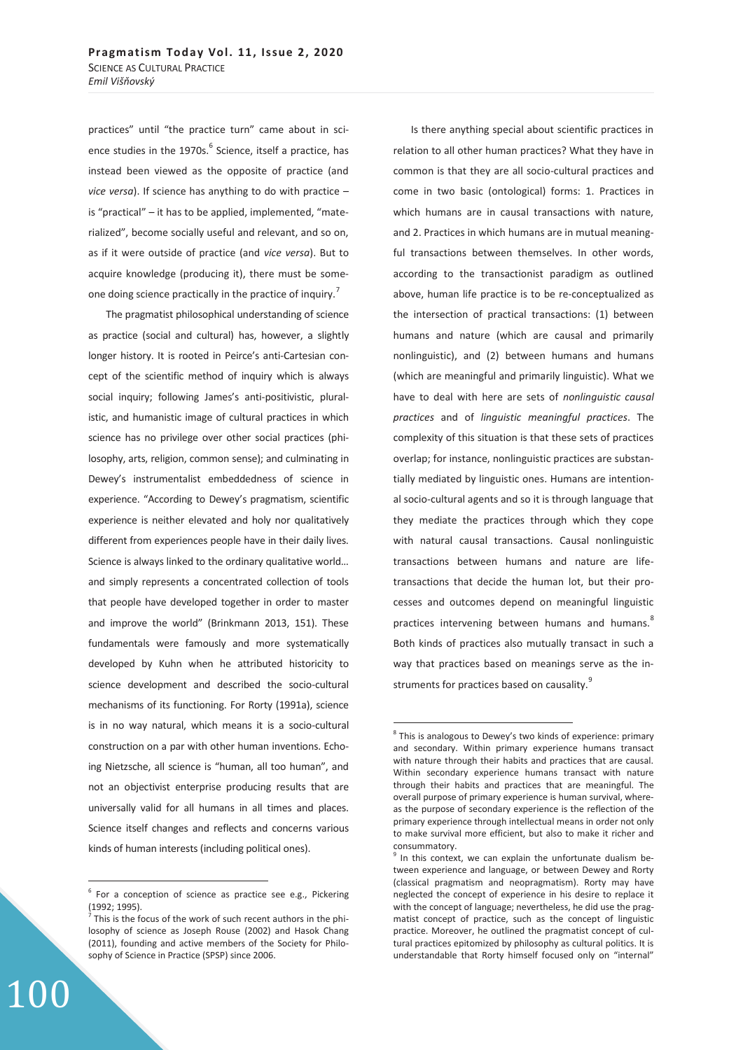practices" until "the practice turn" came about in science studies in the 1970s.<sup>6</sup> Science, itself a practice, has instead been viewed as the opposite of practice (and *vice versa*). If science has anything to do with practice – is "practical" – it has to be applied, implemented, "materialized", become socially useful and relevant, and so on, as if it were outside of practice (and *vice versa*). But to acquire knowledge (producing it), there must be someone doing science practically in the practice of inquiry.<sup>7</sup>

The pragmatist philosophical understanding of science as practice (social and cultural) has, however, a slightly longer history. It is rooted in Peirce's anti-Cartesian concept of the scientific method of inquiry which is always social inquiry; following James's anti-positivistic, pluralistic, and humanistic image of cultural practices in which science has no privilege over other social practices (philosophy, arts, religion, common sense); and culminating in Dewey's instrumentalist embeddedness of science in experience. "According to Dewey's pragmatism, scientific experience is neither elevated and holy nor qualitatively different from experiences people have in their daily lives. Science is always linked to the ordinary qualitative world… and simply represents a concentrated collection of tools that people have developed together in order to master and improve the world" (Brinkmann 2013, 151). These fundamentals were famously and more systematically developed by Kuhn when he attributed historicity to science development and described the socio-cultural mechanisms of its functioning. For Rorty (1991a), science is in no way natural, which means it is a socio-cultural construction on a par with other human inventions. Echoing Nietzsche, all science is "human, all too human", and not an objectivist enterprise producing results that are universally valid for all humans in all times and places. Science itself changes and reflects and concerns various kinds of human interests (including political ones).

100

 $\overline{a}$ 

Is there anything special about scientific practices in relation to all other human practices? What they have in common is that they are all socio-cultural practices and come in two basic (ontological) forms: 1. Practices in which humans are in causal transactions with nature, and 2. Practices in which humans are in mutual meaningful transactions between themselves. In other words, according to the transactionist paradigm as outlined above, human life practice is to be re-conceptualized as the intersection of practical transactions: (1) between humans and nature (which are causal and primarily nonlinguistic), and (2) between humans and humans (which are meaningful and primarily linguistic). What we have to deal with here are sets of *nonlinguistic causal practices* and of *linguistic meaningful practices*. The complexity of this situation is that these sets of practices overlap; for instance, nonlinguistic practices are substantially mediated by linguistic ones. Humans are intentional socio-cultural agents and so it is through language that they mediate the practices through which they cope with natural causal transactions. Causal nonlinguistic transactions between humans and nature are lifetransactions that decide the human lot, but their processes and outcomes depend on meaningful linguistic practices intervening between humans and humans.<sup>8</sup> Both kinds of practices also mutually transact in such a way that practices based on meanings serve as the instruments for practices based on causality.<sup>9</sup>

 $\overline{a}$ 

 $6$  For a conception of science as practice see e.g., Pickering (1992; 1995).

 $<sup>7</sup>$  This is the focus of the work of such recent authors in the phi-</sup> losophy of science as Joseph Rouse (2002) and Hasok Chang (2011), founding and active members of the Society for Philosophy of Science in Practice (SPSP) since 2006.

 $8$  This is analogous to Dewey's two kinds of experience: primary and secondary. Within primary experience humans transact with nature through their habits and practices that are causal. Within secondary experience humans transact with nature through their habits and practices that are meaningful. The overall purpose of primary experience is human survival, whereas the purpose of secondary experience is the reflection of the primary experience through intellectual means in order not only to make survival more efficient, but also to make it richer and consummatory.

<sup>&</sup>lt;sup>9</sup> In this context, we can explain the unfortunate dualism between experience and language, or between Dewey and Rorty (classical pragmatism and neopragmatism). Rorty may have neglected the concept of experience in his desire to replace it with the concept of language; nevertheless, he did use the pragmatist concept of practice, such as the concept of linguistic practice. Moreover, he outlined the pragmatist concept of cultural practices epitomized by philosophy as cultural politics. It is understandable that Rorty himself focused only on "internal"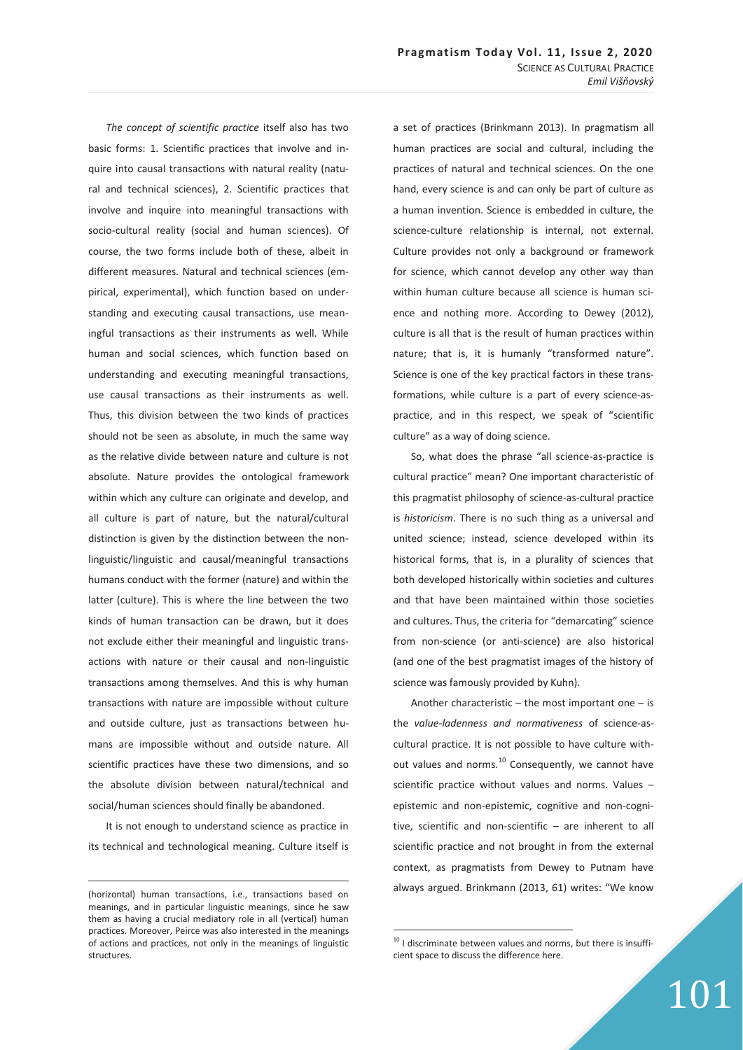*The concept of scientific practice* itself also has two basic forms: 1. Scientific practices that involve and inquire into causal transactions with natural reality (natural and technical sciences), 2. Scientific practices that involve and inquire into meaningful transactions with socio-cultural reality (social and human sciences). Of course, the two forms include both of these, albeit in different measures. Natural and technical sciences (empirical, experimental), which function based on understanding and executing causal transactions, use meaningful transactions as their instruments as well. While human and social sciences, which function based on understanding and executing meaningful transactions, use causal transactions as their instruments as well. Thus, this division between the two kinds of practices should not be seen as absolute, in much the same way as the relative divide between nature and culture is not absolute. Nature provides the ontological framework within which any culture can originate and develop, and all culture is part of nature, but the natural/cultural distinction is given by the distinction between the nonlinguistic/linguistic and causal/meaningful transactions humans conduct with the former (nature) and within the latter (culture). This is where the line between the two kinds of human transaction can be drawn, but it does not exclude either their meaningful and linguistic transactions with nature or their causal and non-linguistic transactions among themselves. And this is why human transactions with nature are impossible without culture and outside culture, just as transactions between humans are impossible without and outside nature. All scientific practices have these two dimensions, and so the absolute division between natural/technical and social/human sciences should finally be abandoned.

It is not enough to understand science as practice in its technical and technological meaning. Culture itself is

-

a set of practices (Brinkmann 2013). In pragmatism all human practices are social and cultural, including the practices of natural and technical sciences. On the one hand, every science is and can only be part of culture as a human invention. Science is embedded in culture, the science-culture relationship is internal, not external. Culture provides not only a background or framework for science, which cannot develop any other way than within human culture because all science is human science and nothing more. According to Dewey (2012), culture is all that is the result of human practices within nature; that is, it is humanly "transformed nature". Science is one of the key practical factors in these transformations, while culture is a part of every science-aspractice, and in this respect, we speak of "scientific culture" as a way of doing science.

So, what does the phrase "all science-as-practice is cultural practice" mean? One important characteristic of this pragmatist philosophy of science-as-cultural practice is *historicism*. There is no such thing as a universal and united science; instead, science developed within its historical forms, that is, in a plurality of sciences that both developed historically within societies and cultures and that have been maintained within those societies and cultures. Thus, the criteria for "demarcating" science from non-science (or anti-science) are also historical (and one of the best pragmatist images of the history of science was famously provided by Kuhn).

Another characteristic  $-$  the most important one  $-$  is the *value-ladenness and normativeness* of science-ascultural practice. It is not possible to have culture without values and norms.<sup>10</sup> Consequently, we cannot have scientific practice without values and norms. Values – epistemic and non-epistemic, cognitive and non-cognitive, scientific and non-scientific – are inherent to all scientific practice and not brought in from the external context, as pragmatists from Dewey to Putnam have always argued. Brinkmann (2013, 61) writes: "We know

 $\overline{a}$ 

<sup>(</sup>horizontal) human transactions, i.e., transactions based on meanings, and in particular linguistic meanings, since he saw them as having a crucial mediatory role in all (vertical) human practices. Moreover, Peirce was also interested in the meanings of actions and practices, not only in the meanings of linguistic structures.

 $10$  I discriminate between values and norms, but there is insufficient space to discuss the difference here.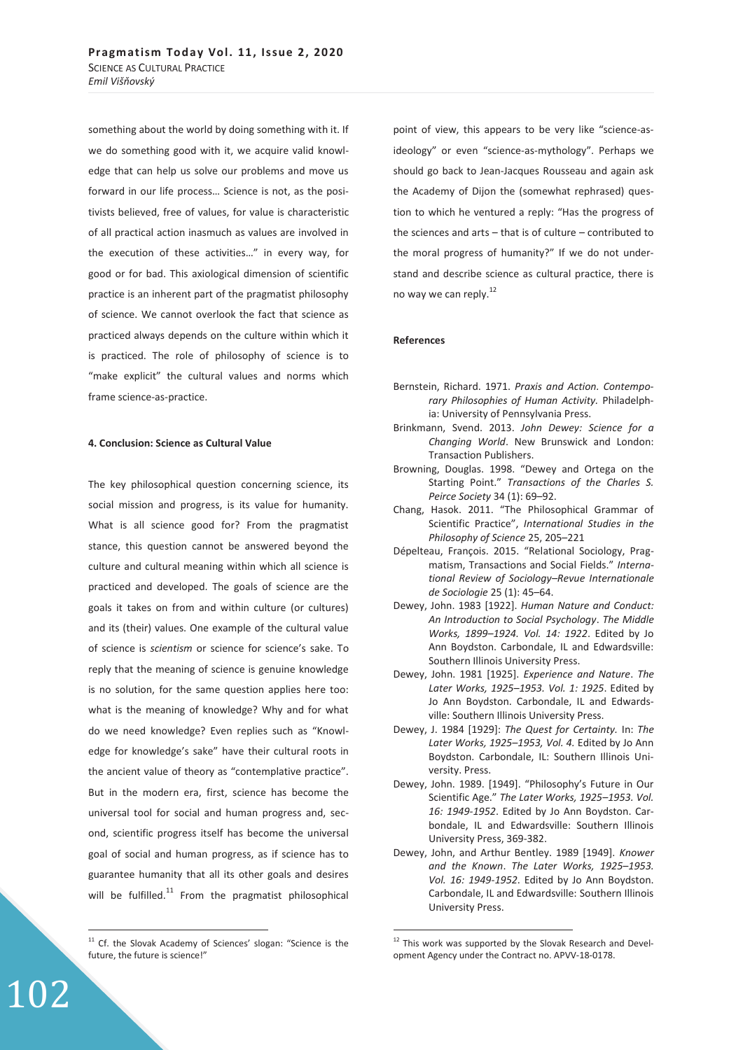something about the world by doing something with it. If we do something good with it, we acquire valid knowledge that can help us solve our problems and move us forward in our life process… Science is not, as the positivists believed, free of values, for value is characteristic of all practical action inasmuch as values are involved in the execution of these activities…" in every way, for good or for bad. This axiological dimension of scientific practice is an inherent part of the pragmatist philosophy of science. We cannot overlook the fact that science as practiced always depends on the culture within which it is practiced. The role of philosophy of science is to "make explicit" the cultural values and norms which frame science-as-practice.

#### **4. Conclusion: Science as Cultural Value**

The key philosophical question concerning science, its social mission and progress, is its value for humanity. What is all science good for? From the pragmatist stance, this question cannot be answered beyond the culture and cultural meaning within which all science is practiced and developed. The goals of science are the goals it takes on from and within culture (or cultures) and its (their) values. One example of the cultural value of science is *scientism* or science for science's sake. To reply that the meaning of science is genuine knowledge is no solution, for the same question applies here too: what is the meaning of knowledge? Why and for what do we need knowledge? Even replies such as "Knowledge for knowledge's sake" have their cultural roots in the ancient value of theory as "contemplative practice". But in the modern era, first, science has become the universal tool for social and human progress and, second, scientific progress itself has become the universal goal of social and human progress, as if science has to guarantee humanity that all its other goals and desires will be fulfilled. $11$  From the pragmatist philosophical

102

 $\overline{a}$ 

point of view, this appears to be very like "science-asideology" or even "science-as-mythology". Perhaps we should go back to Jean-Jacques Rousseau and again ask the Academy of Dijon the (somewhat rephrased) question to which he ventured a reply: "Has the progress of the sciences and arts – that is of culture – contributed to the moral progress of humanity?" If we do not understand and describe science as cultural practice, there is no way we can reply.<sup>12</sup>

#### **References**

- Bernstein, Richard. 1971. *Praxis and Action. Contemporary Philosophies of Human Activity.* Philadelphia: University of Pennsylvania Press.
- Brinkmann, Svend. 2013. *John Dewey: Science for a Changing World*. New Brunswick and London: Transaction Publishers.
- Browning, Douglas. 1998. "Dewey and Ortega on the Starting Point." *Transactions of the Charles S. Peirce Society* 34 (1): 69–92.
- Chang, Hasok. 2011. "The Philosophical Grammar of Scientific Practice", *International Studies in the Philosophy of Science* 25, 205–221
- Dépelteau, François. 2015. "Relational Sociology, Pragmatism, Transactions and Social Fields." *International Review of Sociology–Revue Internationale de Sociologie* 25 (1): 45–64.
- Dewey, John. 1983 [1922]. *Human Nature and Conduct: An Introduction to Social Psychology*. *The Middle Works, 1899–1924. Vol. 14: 1922*. Edited by Jo Ann Boydston. Carbondale, IL and Edwardsville: Southern Illinois University Press.
- Dewey, John. 1981 [1925]. *Experience and Nature*. *The Later Works, 1925–1953. Vol. 1: 1925*. Edited by Jo Ann Boydston. Carbondale, IL and Edwardsville: Southern Illinois University Press.
- Dewey, J. 1984 [1929]: *The Quest for Certainty.* In: *The Later Works, 1925–1953, Vol. 4.* Edited by Jo Ann Boydston. Carbondale, IL: Southern Illinois University. Press.
- Dewey, John. 1989. [1949]. "Philosophy's Future in Our Scientific Age." *The Later Works, 1925–1953. Vol. 16: 1949-1952*. Edited by Jo Ann Boydston. Carbondale, IL and Edwardsville: Southern Illinois University Press, 369-382.
- Dewey, John, and Arthur Bentley. 1989 [1949]. *Knower and the Known*. *The Later Works, 1925–1953. Vol. 16: 1949-1952*. Edited by Jo Ann Boydston. Carbondale, IL and Edwardsville: Southern Illinois University Press.

 $\overline{a}$ 

<sup>&</sup>lt;sup>11</sup> Cf. the Slovak Academy of Sciences' slogan: "Science is the future, the future is science!"

<sup>&</sup>lt;sup>12</sup> This work was supported by the Slovak Research and Development Agency under the Contract no. APVV-18-0178.